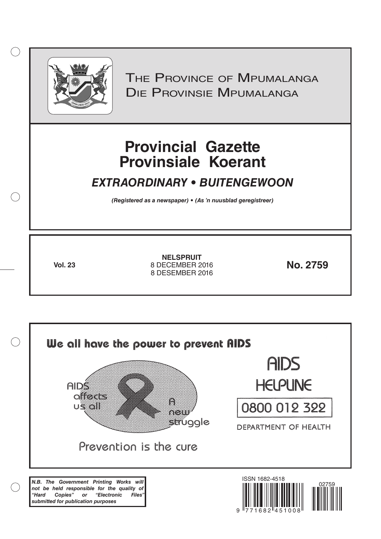

 $( )$ 

THE PROVINCE OF MPUMALANGA Die Provinsie Mpumalanga

# **Provincial Gazette Provinsiale Koerant**

## *EXTRAORDINARY • BUITENGEWOON*

*(Registered as a newspaper) • (As 'n nuusblad geregistreer)*

**Vol. 23 No. 2759** 8 DECEMBER 2016 **NELSPRUIT** 8 DESEMBER 2016

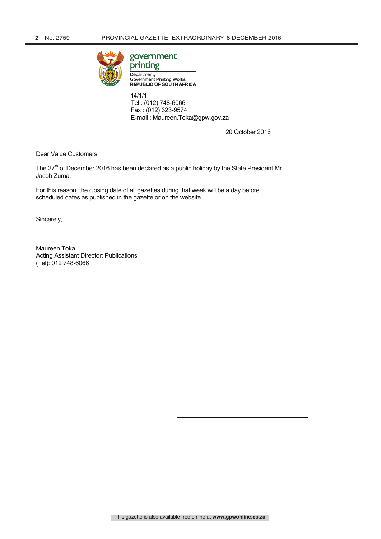

### government

Department: Government Printing Works<br>REPUBLIC OF SOUTH AFRICA

 14/1/1 Tel : (012) 748-6066 Fax : (012) 323-9574 E-mail : Maureen.Toka@gpw.gov.za

20 October 2016

Dear Value Customers

The 27<sup>th</sup> of December 2016 has been declared as a public holiday by the State President Mr Jacob Zuma.

For this reason, the closing date of all gazettes during that week will be a day before scheduled dates as published in the gazette or on the website.

Sincerely,

Maureen Toka Acting Assistant Director: Publications (Tel): 012 748-6066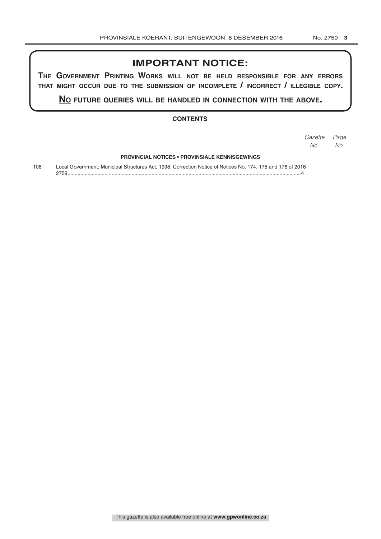### **IMPORTANT NOTICE:**

**The GovernmenT PrinTinG Works Will noT be held resPonsible for any errors ThaT miGhT occur due To The submission of incomPleTe / incorrecT / illeGible coPy.**

**no fuTure queries Will be handled in connecTion WiTh The above.**

#### **CONTENTS**

*Page Gazette No. No.*

**PROVINCIAL NOTICES • PROVINSIALE KENNISGEWINGS**

108 Local Government: Municipal Structures Act, 1998: Correction Notice of Notices No. 174, 175 and 176 of 2016 2759....................................................................................................................................................................4

This gazette is also available free online at **www.gpwonline.co.za**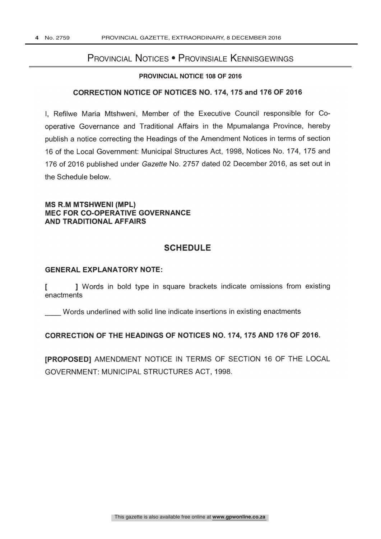#### $G = G = G \cup G$ PROVINCIAL NOTICES • PROVINSIALE KENNISGEWINGS

#### **PROVINCIAL NOTICE 108 OF 2016**

#### CORRECTION NOTICE OF NOTICES NO. 174, 175 and 176 OF 2016

I, Refilwe Maria Mtshweni, Member of the Executive Council responsible for Cooperative Governance and Traditional Affairs in the Mpumalanga Province, hereby publish a notice correcting the Headings of the Amendment Notices in terms of section 16 of the Local Government: Municipal Structures Act, 1998, Notices No. 174, 175 and 176 of 2016 published under Gazette No. 2757 dated 02 December 2016, as set out in the Schedule below.

#### MS R.M MTSHWENI (MPL) **MEC FOR CO-OPERATIVE GOVERNANCE** AND TRADITIONAL AFFAIRS

#### **SCHEDULE**

#### GENERAL EXPLANATORY NOTE:

[ ] Words in bold type in square brackets indicate omissions from existing enactments

Words underlined with solid line indicate insertions in existing enactments

#### CORRECTION OF THE HEADINGS OF NOTICES NO. 174, 175 AND 176 OF 2016.

[PROPOSED] AMENDMENT NOTICE IN TERMS OF SECTION 16 OF THE LOCAL GOVERNMENT: MUNICIPAL STRUCTURES ACT, 1998.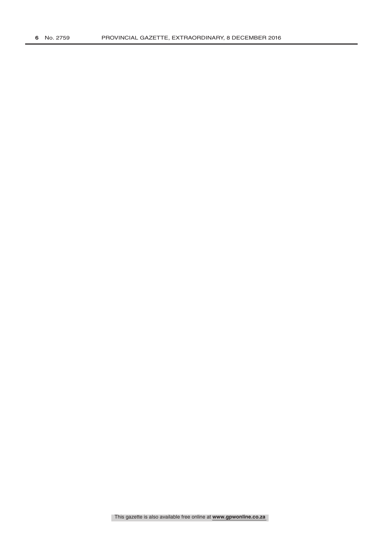This gazette is also available free online at **www.gpwonline.co.za**